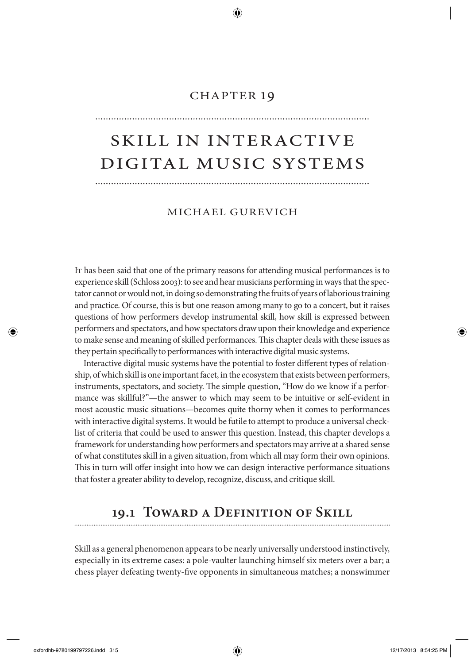### CHAPTER 19

⊕

# SKILL IN INTERACTIVE DIGITAL MUSIC SYSTEMS

#### MICHAEL GUREVICH

It has been said that one of the primary reasons for attending musical performances is to experience skill (Schloss 2003): to see and hear musicians performing in ways that the spectator cannot or would not, in doing so demonstrating the fruits of years of laborious training and practice. Of course, this is but one reason among many to go to a concert, but it raises questions of how performers develop instrumental skill, how skill is expressed between performers and spectators, and how spectators draw upon their knowledge and experience to make sense and meaning of skilled performances. This chapter deals with these issues as they pertain specifically to performances with interactive digital music systems.

Interactive digital music systems have the potential to foster different types of relationship, of which skill is one important facet, in the ecosystem that exists between performers, instruments, spectators, and society. The simple question, "How do we know if a performance was skillful?"—the answer to which may seem to be intuitive or self-evident in most acoustic music situations—becomes quite thorny when it comes to performances with interactive digital systems. It would be futile to attempt to produce a universal checklist of criteria that could be used to answer this question. Instead, this chapter develops a framework for understanding how performers and spectators may arrive at a shared sense of what constitutes skill in a given situation, from which all may form their own opinions. This in turn will offer insight into how we can design interactive performance situations that foster a greater ability to develop, recognize, discuss, and critique skill.

### **19.1 Toward a Definition of Skill**

 Skill as a general phenomenon appears to be nearly universally understood instinctively, especially in its extreme cases: a pole-vaulter launching himself six meters over a bar; a chess player defeating twenty-five opponents in simultaneous matches; a nonswimmer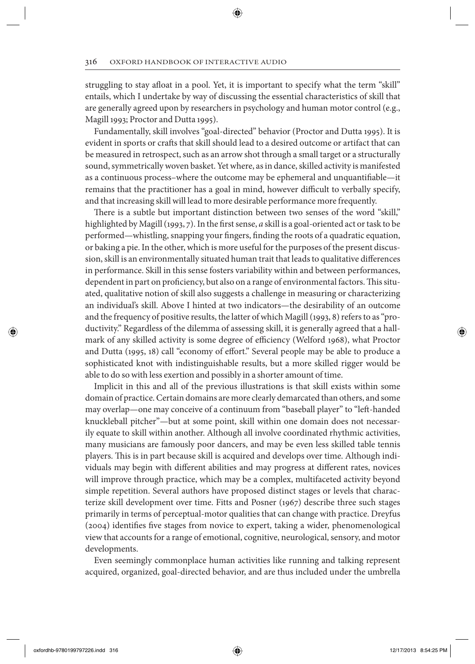struggling to stay afloat in a pool. Yet, it is important to specify what the term "skill" entails, which I undertake by way of discussing the essential characteristics of skill that are generally agreed upon by researchers in psychology and human motor control (e.g., Magill 1993; Proctor and Dutta 1995).

◈

 Fundamentally, skill involves "goal-directed" behavior (Proctor and Dutta 1995). It is evident in sports or crafts that skill should lead to a desired outcome or artifact that can be measured in retrospect, such as an arrow shot through a small target or a structurally sound, symmetrically woven basket. Yet where, as in dance, skilled activity is manifested as a continuous process–where the outcome may be ephemeral and unquantifiable—it remains that the practitioner has a goal in mind, however difficult to verbally specify, and that increasing skill will lead to more desirable performance more frequently.

There is a subtle but important distinction between two senses of the word "skill," highlighted by Magill (1993, 7). In the first sense, *a* skill is a goal-oriented act or task to be performed—whistling, snapping your fingers, finding the roots of a quadratic equation, or baking a pie. In the other, which is more useful for the purposes of the present discussion, skill is an environmentally situated human trait that leads to qualitative differences in performance. Skill in this sense fosters variability within and between performances, dependent in part on proficiency, but also on a range of environmental factors. This situated, qualitative notion of skill also suggests a challenge in measuring or characterizing an individual's skill. Above I hinted at two indicators—the desirability of an outcome and the frequency of positive results, the latter of which Magill (1993, 8) refers to as "productivity." Regardless of the dilemma of assessing skill, it is generally agreed that a hallmark of any skilled activity is some degree of efficiency (Welford 1968), what Proctor and Dutta (1995, 18) call "economy of effort." Several people may be able to produce a sophisticated knot with indistinguishable results, but a more skilled rigger would be able to do so with less exertion and possibly in a shorter amount of time.

 Implicit in this and all of the previous illustrations is that skill exists within some domain of practice. Certain domains are more clearly demarcated than others, and some may overlap—one may conceive of a continuum from "baseball player" to "left-handed knuckleball pitcher"—but at some point, skill within one domain does not necessarily equate to skill within another. Although all involve coordinated rhythmic activities, many musicians are famously poor dancers, and may be even less skilled table tennis players. This is in part because skill is acquired and develops over time. Although individuals may begin with different abilities and may progress at different rates, novices will improve through practice, which may be a complex, multifaceted activity beyond simple repetition. Several authors have proposed distinct stages or levels that characterize skill development over time. Fitts and Posner (1967) describe three such stages primarily in terms of perceptual-motor qualities that can change with practice. Dreyfus  $(2004)$  identifies five stages from novice to expert, taking a wider, phenomenological view that accounts for a range of emotional, cognitive, neurological, sensory, and motor developments.

 Even seemingly commonplace human activities like running and talking represent acquired, organized, goal-directed behavior, and are thus included under the umbrella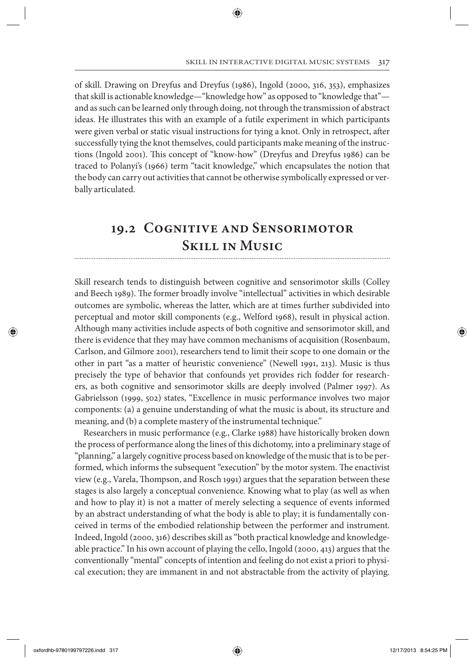of skill. Drawing on Dreyfus and Dreyfus (1986), Ingold (2000, 316, 353), emphasizes that skill is actionable knowledge—"knowledge how" as opposed to "knowledge that" and as such can be learned only through doing, not through the transmission of abstract ideas. He illustrates this with an example of a futile experiment in which participants were given verbal or static visual instructions for tying a knot. Only in retrospect, after successfully tying the knot themselves, could participants make meaning of the instructions (Ingold 2001). This concept of "know-how" (Dreyfus and Dreyfus 1986) can be traced to Polanyi's (1966) term "tacit knowledge," which encapsulates the notion that the body can carry out activities that cannot be otherwise symbolically expressed or verbally articulated.

⊕

## **19.2 Cognitive and Sensorimotor Skill in Music**

 Skill research tends to distinguish between cognitive and sensorimotor skills (Colley and Beech 1989). The former broadly involve "intellectual" activities in which desirable outcomes are symbolic, whereas the latter, which are at times further subdivided into perceptual and motor skill components (e.g., Welford 1968), result in physical action. Although many activities include aspects of both cognitive and sensorimotor skill, and there is evidence that they may have common mechanisms of acquisition (Rosenbaum, Carlson, and Gilmore 2001), researchers tend to limit their scope to one domain or the other in part "as a matter of heuristic convenience" (Newell 1991, 213). Music is thus precisely the type of behavior that confounds yet provides rich fodder for researchers, as both cognitive and sensorimotor skills are deeply involved (Palmer 1997). As Gabrielsson (1999, 502) states, "Excellence in music performance involves two major components: (a) a genuine understanding of what the music is about, its structure and meaning, and (b) a complete mastery of the instrumental technique."

 Researchers in music performance (e.g., Clarke 1988) have historically broken down the process of performance along the lines of this dichotomy, into a preliminary stage of "planning," a largely cognitive process based on knowledge of the music that is to be performed, which informs the subsequent "execution" by the motor system. The enactivist view (e.g., Varela, Thompson, and Rosch 1991) argues that the separation between these stages is also largely a conceptual convenience. Knowing what to play (as well as when and how to play it) is not a matter of merely selecting a sequence of events informed by an abstract understanding of what the body is able to play; it is fundamentally conceived in terms of the embodied relationship between the performer and instrument. Indeed, Ingold (2000, 316) describes skill as "both practical knowledge and knowledgeable practice." In his own account of playing the cello, Ingold (2000, 413) argues that the conventionally "mental" concepts of intention and feeling do not exist a priori to physical execution; they are immanent in and not abstractable from the activity of playing.

oxfordhb-9780199797226.indd 317 12/17/2013 8:54:25 PM 2017/2013 8:54:25 PM 2017/2013 8:54:25 PM 2017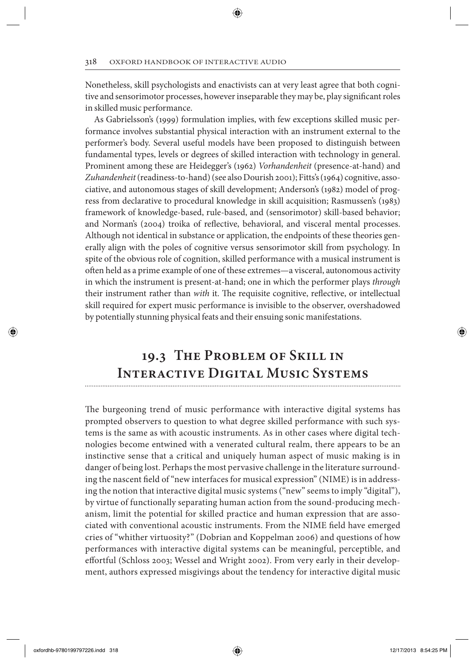Nonetheless, skill psychologists and enactivists can at very least agree that both cognitive and sensorimotor processes, however inseparable they may be, play significant roles in skilled music performance.

◈

 As Gabrielsson's (1999) formulation implies, with few exceptions skilled music performance involves substantial physical interaction with an instrument external to the performer's body. Several useful models have been proposed to distinguish between fundamental types, levels or degrees of skilled interaction with technology in general. Prominent among these are Heidegger's (1962) *Vorhandenheit* (presence-at-hand) and *Zuhandenheit* (readiness-to-hand) (see also Dourish 2001); Fitts's (1964) cognitive, associative, and autonomous stages of skill development; Anderson's (1982) model of progress from declarative to procedural knowledge in skill acquisition; Rasmussen's (1983) framework of knowledge-based, rule-based, and (sensorimotor) skill-based behavior; and Norman's (2004) troika of reflective, behavioral, and visceral mental processes. Although not identical in substance or application, the endpoints of these theories generally align with the poles of cognitive versus sensorimotor skill from psychology. In spite of the obvious role of cognition, skilled performance with a musical instrument is of en held as a prime example of one of these extremes—a visceral, autonomous activity in which the instrument is present-at-hand; one in which the performer plays *through* their instrument rather than *with* it. The requisite cognitive, reflective, or intellectual skill required for expert music performance is invisible to the observer, overshadowed by potentially stunning physical feats and their ensuing sonic manifestations.

# **19.3 The Problem of Skill in Interactive Digital Music Systems**

The burgeoning trend of music performance with interactive digital systems has prompted observers to question to what degree skilled performance with such systems is the same as with acoustic instruments. As in other cases where digital technologies become entwined with a venerated cultural realm, there appears to be an instinctive sense that a critical and uniquely human aspect of music making is in danger of being lost. Perhaps the most pervasive challenge in the literature surrounding the nascent field of "new interfaces for musical expression" (NIME) is in addressing the notion that interactive digital music systems ("new" seems to imply "digital"), by virtue of functionally separating human action from the sound-producing mechanism, limit the potential for skilled practice and human expression that are associated with conventional acoustic instruments. From the NIME field have emerged cries of "whither virtuosity?" (Dobrian and Koppelman 2006) and questions of how performances with interactive digital systems can be meaningful, perceptible, and effortful (Schloss 2003; Wessel and Wright 2002). From very early in their development, authors expressed misgivings about the tendency for interactive digital music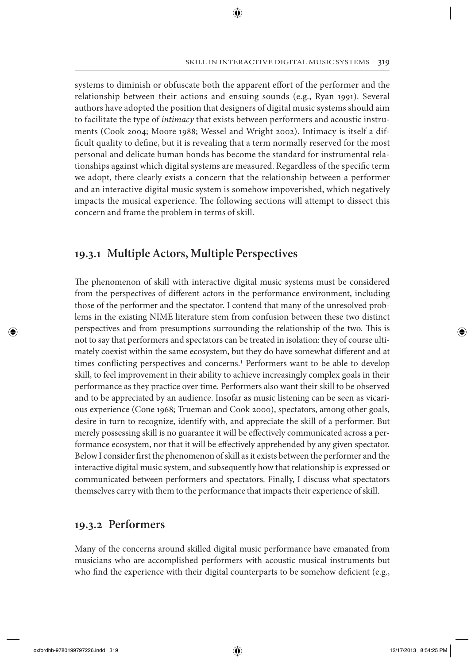systems to diminish or obfuscate both the apparent effort of the performer and the relationship between their actions and ensuing sounds (e.g., Ryan 1991). Several authors have adopted the position that designers of digital music systems should aim to facilitate the type of *intimacy* that exists between performers and acoustic instruments (Cook 2004; Moore 1988; Wessel and Wright 2002). Intimacy is itself a difficult quality to define, but it is revealing that a term normally reserved for the most personal and delicate human bonds has become the standard for instrumental relationships against which digital systems are measured. Regardless of the specific term we adopt, there clearly exists a concern that the relationship between a performer and an interactive digital music system is somehow impoverished, which negatively impacts the musical experience. The following sections will attempt to dissect this concern and frame the problem in terms of skill.

⊕

### **19.3.1 Multiple Actors, Multiple Perspectives**

The phenomenon of skill with interactive digital music systems must be considered from the perspectives of different actors in the performance environment, including those of the performer and the spectator. I contend that many of the unresolved problems in the existing NIME literature stem from confusion between these two distinct perspectives and from presumptions surrounding the relationship of the two. This is not to say that performers and spectators can be treated in isolation: they of course ultimately coexist within the same ecosystem, but they do have somewhat different and at times conflicting perspectives and concerns.<sup>1</sup> Performers want to be able to develop skill, to feel improvement in their ability to achieve increasingly complex goals in their performance as they practice over time. Performers also want their skill to be observed and to be appreciated by an audience. Insofar as music listening can be seen as vicarious experience (Cone 1968; Trueman and Cook 2000), spectators, among other goals, desire in turn to recognize, identify with, and appreciate the skill of a performer. But merely possessing skill is no guarantee it will be effectively communicated across a performance ecosystem, nor that it will be effectively apprehended by any given spectator. Below I consider first the phenomenon of skill as it exists between the performer and the interactive digital music system, and subsequently how that relationship is expressed or communicated between performers and spectators. Finally, I discuss what spectators themselves carry with them to the performance that impacts their experience of skill.

#### **19.3.2 Performers**

 Many of the concerns around skilled digital music performance have emanated from musicians who are accomplished performers with acoustic musical instruments but who find the experience with their digital counterparts to be somehow deficient (e.g.,

↔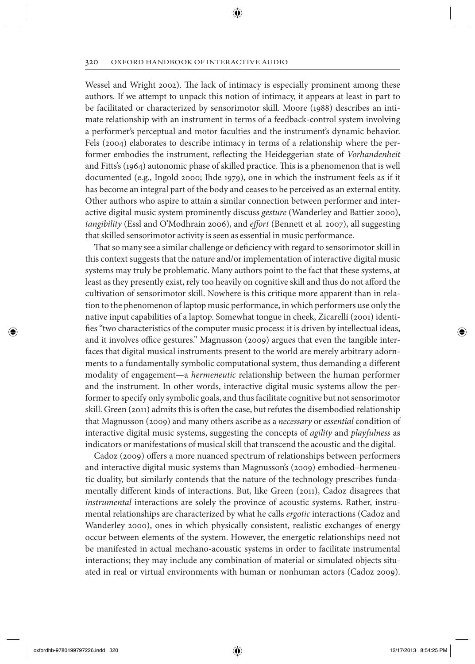Wessel and Wright 2002). The lack of intimacy is especially prominent among these authors. If we attempt to unpack this notion of intimacy, it appears at least in part to be facilitated or characterized by sensorimotor skill. Moore (1988) describes an intimate relationship with an instrument in terms of a feedback-control system involving a performer's perceptual and motor faculties and the instrument's dynamic behavior. Fels (2004) elaborates to describe intimacy in terms of a relationship where the performer embodies the instrument, reflecting the Heideggerian state of *Vorhandenheit* and Fitts's (1964) autonomic phase of skilled practice. This is a phenomenon that is well documented (e.g., Ingold 2000; Ihde 1979), one in which the instrument feels as if it has become an integral part of the body and ceases to be perceived as an external entity. Other authors who aspire to attain a similar connection between performer and interactive digital music system prominently discuss *gesture* (Wanderley and Battier 2000), *tangibility* (Essl and O'Modhrain 2006), and *effort* (Bennett et al. 2007), all suggesting that skilled sensorimotor activity is seen as essential in music performance.

◈

That so many see a similar challenge or deficiency with regard to sensorimotor skill in this context suggests that the nature and/or implementation of interactive digital music systems may truly be problematic. Many authors point to the fact that these systems, at least as they presently exist, rely too heavily on cognitive skill and thus do not afford the cultivation of sensorimotor skill. Nowhere is this critique more apparent than in relation to the phenomenon of laptop music performance, in which performers use only the native input capabilities of a laptop. Somewhat tongue in cheek, Zicarelli (2001) identifies "two characteristics of the computer music process: it is driven by intellectual ideas, and it involves office gestures." Magnusson (2009) argues that even the tangible interfaces that digital musical instruments present to the world are merely arbitrary adornments to a fundamentally symbolic computational system, thus demanding a different modality of engagement—a *hermeneutic* relationship between the human performer and the instrument. In other words, interactive digital music systems allow the performer to specify only symbolic goals, and thus facilitate cognitive but not sensorimotor skill. Green (2011) admits this is often the case, but refutes the disembodied relationship that Magnusson (2009) and many others ascribe as a *necessary* or *essential* condition of interactive digital music systems, suggesting the concepts of *agility* and *playfulness* as indicators or manifestations of musical skill that transcend the acoustic and the digital.

Cadoz (2009) offers a more nuanced spectrum of relationships between performers and interactive digital music systems than Magnusson's (2009) embodied–hermeneutic duality, but similarly contends that the nature of the technology prescribes fundamentally different kinds of interactions. But, like Green (2011), Cadoz disagrees that *instrumental* interactions are solely the province of acoustic systems. Rather, instrumental relationships are characterized by what he calls *ergotic* interactions (Cadoz and Wanderley 2000), ones in which physically consistent, realistic exchanges of energy occur between elements of the system. However, the energetic relationships need not be manifested in actual mechano-acoustic systems in order to facilitate instrumental interactions; they may include any combination of material or simulated objects situated in real or virtual environments with human or nonhuman actors (Cadoz 2009).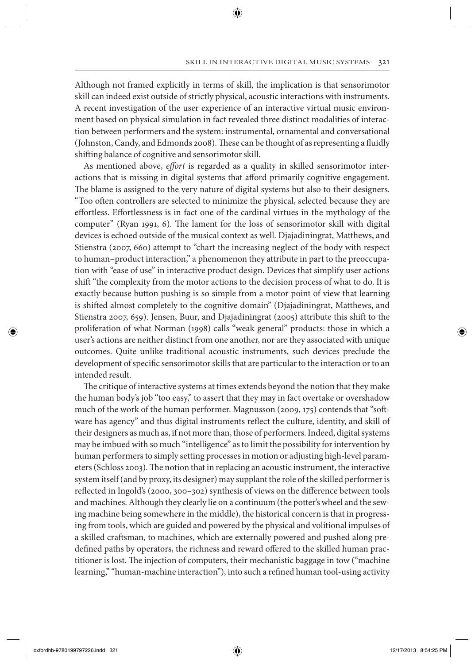Although not framed explicitly in terms of skill, the implication is that sensorimotor skill can indeed exist outside of strictly physical, acoustic interactions with instruments. A recent investigation of the user experience of an interactive virtual music environment based on physical simulation in fact revealed three distinct modalities of interaction between performers and the system: instrumental, ornamental and conversational (Johnston, Candy, and Edmonds 2008). These can be thought of as representing a fluidly shifting balance of cognitive and sensorimotor skill.

◈

As mentioned above, *effort* is regarded as a quality in skilled sensorimotor interactions that is missing in digital systems that afford primarily cognitive engagement. The blame is assigned to the very nature of digital systems but also to their designers. "Too of en controllers are selected to minimize the physical, selected because they are effortless. Effortlessness is in fact one of the cardinal virtues in the mythology of the computer" (Ryan 1991, 6). The lament for the loss of sensorimotor skill with digital devices is echoed outside of the musical context as well. Djajadiningrat, Matthews, and Stienstra (2007, 660) attempt to "chart the increasing neglect of the body with respect to human–product interaction," a phenomenon they attribute in part to the preoccupation with "ease of use" in interactive product design. Devices that simplify user actions shif "the complexity from the motor actions to the decision process of what to do. It is exactly because button pushing is so simple from a motor point of view that learning is shifted almost completely to the cognitive domain" (Djajadiningrat, Matthews, and Stienstra 2007, 659). Jensen, Buur, and Djajadiningrat (2005) attribute this shif to the proliferation of what Norman (1998) calls "weak general" products: those in which a user's actions are neither distinct from one another, nor are they associated with unique outcomes. Quite unlike traditional acoustic instruments, such devices preclude the development of specific sensorimotor skills that are particular to the interaction or to an intended result.

The critique of interactive systems at times extends beyond the notion that they make the human body's job "too easy," to assert that they may in fact overtake or overshadow much of the work of the human performer. Magnusson (2009, 175) contends that "software has agency" and thus digital instruments reflect the culture, identity, and skill of their designers as much as, if not more than, those of performers. Indeed, digital systems may be imbued with so much "intelligence" as to limit the possibility for intervention by human performers to simply setting processes in motion or adjusting high-level parameters (Schloss 2003). The notion that in replacing an acoustic instrument, the interactive system itself (and by proxy, its designer) may supplant the role of the skilled performer is reflected in Ingold's (2000, 300-302) synthesis of views on the difference between tools and machines. Although they clearly lie on a continuum (the potter's wheel and the sewing machine being somewhere in the middle), the historical concern is that in progressing from tools, which are guided and powered by the physical and volitional impulses of a skilled craftsman, to machines, which are externally powered and pushed along predefined paths by operators, the richness and reward offered to the skilled human practitioner is lost. The injection of computers, their mechanistic baggage in tow ("machine learning," "human-machine interaction"), into such a refined human tool-using activity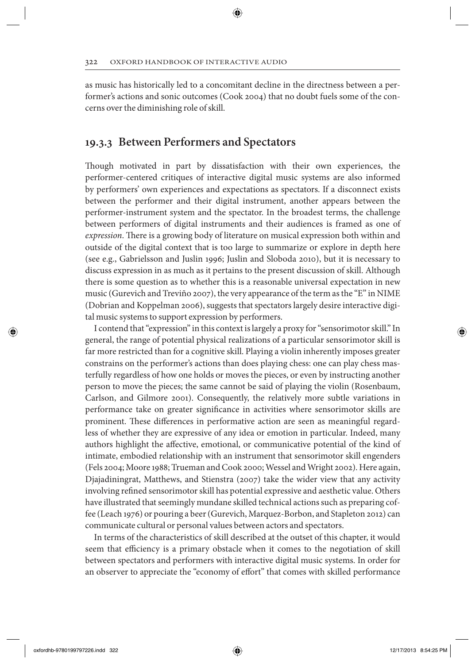as music has historically led to a concomitant decline in the directness between a performer's actions and sonic outcomes (Cook 2004) that no doubt fuels some of the concerns over the diminishing role of skill.

◈

### **19.3.3 Between Performers and Spectators**

Though motivated in part by dissatisfaction with their own experiences, the performer-centered critiques of interactive digital music systems are also informed by performers' own experiences and expectations as spectators. If a disconnect exists between the performer and their digital instrument, another appears between the performer-instrument system and the spectator. In the broadest terms, the challenge between performers of digital instruments and their audiences is framed as one of *expression*. There is a growing body of literature on musical expression both within and outside of the digital context that is too large to summarize or explore in depth here (see e.g., Gabrielsson and Juslin 1996; Juslin and Sloboda 2010), but it is necessary to discuss expression in as much as it pertains to the present discussion of skill. Although there is some question as to whether this is a reasonable universal expectation in new music (Gurevich and Treviño 2007), the very appearance of the term as the "E" in NIME (Dobrian and Koppelman 2006), suggests that spectators largely desire interactive digital music systems to support expression by performers.

 I contend that "expression" in this context is largely a proxy for "sensorimotor skill." In general, the range of potential physical realizations of a particular sensorimotor skill is far more restricted than for a cognitive skill. Playing a violin inherently imposes greater constrains on the performer's actions than does playing chess: one can play chess masterfully regardless of how one holds or moves the pieces, or even by instructing another person to move the pieces; the same cannot be said of playing the violin (Rosenbaum, Carlson, and Gilmore 2001). Consequently, the relatively more subtle variations in performance take on greater significance in activities where sensorimotor skills are prominent. These differences in performative action are seen as meaningful regardless of whether they are expressive of any idea or emotion in particular. Indeed, many authors highlight the affective, emotional, or communicative potential of the kind of intimate, embodied relationship with an instrument that sensorimotor skill engenders (Fels 2004; Moore 1988; Trueman and Cook 2000; Wessel and Wright 2002). Here again, Djajadiningrat, Matthews, and Stienstra (2007) take the wider view that any activity involving refined sensorimotor skill has potential expressive and aesthetic value. Others have illustrated that seemingly mundane skilled technical actions such as preparing coffee (Leach 1976) or pouring a beer (Gurevich, Marquez-Borbon, and Stapleton 2012) can communicate cultural or personal values between actors and spectators.

 In terms of the characteristics of skill described at the outset of this chapter, it would seem that efficiency is a primary obstacle when it comes to the negotiation of skill between spectators and performers with interactive digital music systems. In order for an observer to appreciate the "economy of effort" that comes with skilled performance

↔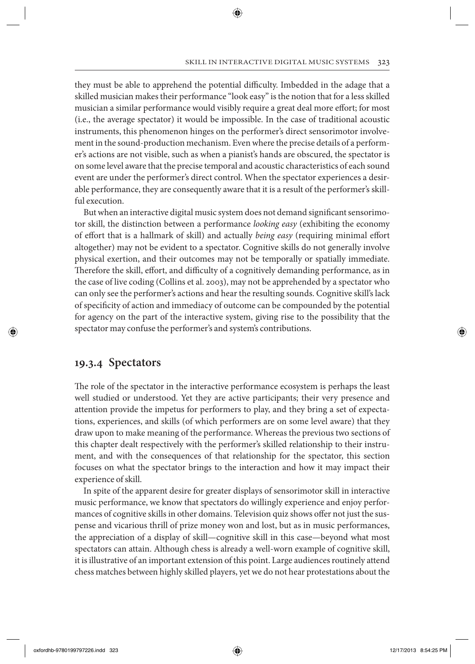they must be able to apprehend the potential difficulty. Imbedded in the adage that a skilled musician makes their performance "look easy" is the notion that for a less skilled musician a similar performance would visibly require a great deal more effort; for most (i.e., the average spectator) it would be impossible. In the case of traditional acoustic instruments, this phenomenon hinges on the performer's direct sensorimotor involvement in the sound-production mechanism. Even where the precise details of a performer's actions are not visible, such as when a pianist's hands are obscured, the spectator is on some level aware that the precise temporal and acoustic characteristics of each sound event are under the performer's direct control. When the spectator experiences a desirable performance, they are consequently aware that it is a result of the performer's skillful execution.

⊕

But when an interactive digital music system does not demand significant sensorimotor skill, the distinction between a performance *looking easy* (exhibiting the economy of effort that is a hallmark of skill) and actually *being easy* (requiring minimal effort altogether) may not be evident to a spectator. Cognitive skills do not generally involve physical exertion, and their outcomes may not be temporally or spatially immediate. Therefore the skill, effort, and difficulty of a cognitively demanding performance, as in the case of live coding (Collins et al. 2003), may not be apprehended by a spectator who can only see the performer's actions and hear the resulting sounds. Cognitive skill's lack of specif city of action and immediacy of outcome can be compounded by the potential for agency on the part of the interactive system, giving rise to the possibility that the spectator may confuse the performer's and system's contributions.

### **19.3.4 Spectators**

↔

The role of the spectator in the interactive performance ecosystem is perhaps the least well studied or understood. Yet they are active participants; their very presence and attention provide the impetus for performers to play, and they bring a set of expectations, experiences, and skills (of which performers are on some level aware) that they draw upon to make meaning of the performance. Whereas the previous two sections of this chapter dealt respectively with the performer's skilled relationship to their instrument, and with the consequences of that relationship for the spectator, this section focuses on what the spectator brings to the interaction and how it may impact their experience of skill.

 In spite of the apparent desire for greater displays of sensorimotor skill in interactive music performance, we know that spectators do willingly experience and enjoy performances of cognitive skills in other domains. Television quiz shows offer not just the suspense and vicarious thrill of prize money won and lost, but as in music performances, the appreciation of a display of skill—cognitive skill in this case—beyond what most spectators can attain. Although chess is already a well-worn example of cognitive skill, it is illustrative of an important extension of this point. Large audiences routinely attend chess matches between highly skilled players, yet we do not hear protestations about the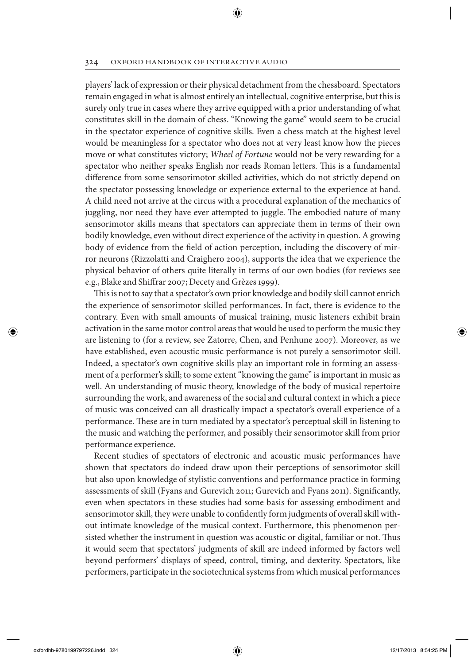players' lack of expression or their physical detachment from the chessboard. Spectators remain engaged in what is almost entirely an intellectual, cognitive enterprise, but this is surely only true in cases where they arrive equipped with a prior understanding of what constitutes skill in the domain of chess. "Knowing the game" would seem to be crucial in the spectator experience of cognitive skills. Even a chess match at the highest level would be meaningless for a spectator who does not at very least know how the pieces move or what constitutes victory; *Wheel of Fortune* would not be very rewarding for a spectator who neither speaks English nor reads Roman letters. This is a fundamental difference from some sensorimotor skilled activities, which do not strictly depend on the spectator possessing knowledge or experience external to the experience at hand. A child need not arrive at the circus with a procedural explanation of the mechanics of juggling, nor need they have ever attempted to juggle. The embodied nature of many sensorimotor skills means that spectators can appreciate them in terms of their own bodily knowledge, even without direct experience of the activity in question. A growing body of evidence from the field of action perception, including the discovery of mirror neurons (Rizzolatti and Craighero 2004), supports the idea that we experience the physical behavior of others quite literally in terms of our own bodies (for reviews see e.g., Blake and Shiffrar 2007; Decety and Grèzes 1999).

◈

This is not to say that a spectator's own prior knowledge and bodily skill cannot enrich the experience of sensorimotor skilled performances. In fact, there is evidence to the contrary. Even with small amounts of musical training, music listeners exhibit brain activation in the same motor control areas that would be used to perform the music they are listening to (for a review, see Zatorre, Chen, and Penhune 2007). Moreover, as we have established, even acoustic music performance is not purely a sensorimotor skill. Indeed, a spectator's own cognitive skills play an important role in forming an assessment of a performer's skill; to some extent "knowing the game" is important in music as well. An understanding of music theory, knowledge of the body of musical repertoire surrounding the work, and awareness of the social and cultural context in which a piece of music was conceived can all drastically impact a spectator's overall experience of a performance. These are in turn mediated by a spectator's perceptual skill in listening to the music and watching the performer, and possibly their sensorimotor skill from prior performance experience.

 Recent studies of spectators of electronic and acoustic music performances have shown that spectators do indeed draw upon their perceptions of sensorimotor skill but also upon knowledge of stylistic conventions and performance practice in forming assessments of skill (Fyans and Gurevich 2011; Gurevich and Fyans 2011). Significantly, even when spectators in these studies had some basis for assessing embodiment and sensorimotor skill, they were unable to confidently form judgments of overall skill without intimate knowledge of the musical context. Furthermore, this phenomenon persisted whether the instrument in question was acoustic or digital, familiar or not. Thus it would seem that spectators' judgments of skill are indeed informed by factors well beyond performers' displays of speed, control, timing, and dexterity. Spectators, like performers, participate in the sociotechnical systems from which musical performances

oxfordhb-9780199797226.indd 324 12/17/2013 8:54:25 PM 2/17/2013 8:54:25 PM 2/17/2013 8:54:25 PM 2/17/2013 8:54:25 PM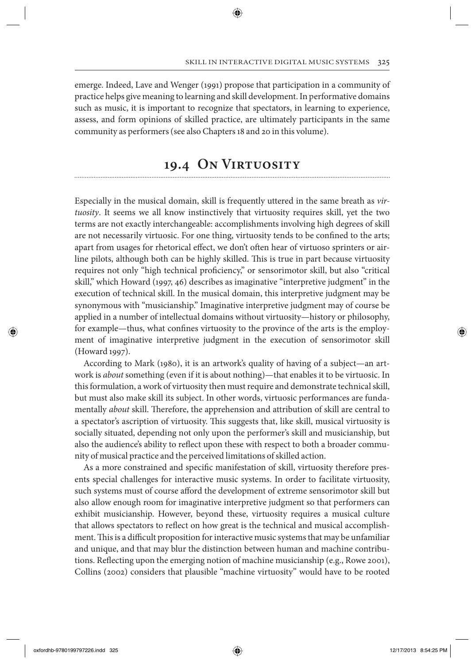emerge. Indeed, Lave and Wenger (1991) propose that participation in a community of practice helps give meaning to learning and skill development. In performative domains such as music, it is important to recognize that spectators, in learning to experience, assess, and form opinions of skilled practice, are ultimately participants in the same community as performers (see also Chapters 18 and 20 in this volume).

⊕

## **19.4 On Virtuosity**

 Especially in the musical domain, skill is frequently uttered in the same breath as *virtuosity* . It seems we all know instinctively that virtuosity requires skill, yet the two terms are not exactly interchangeable: accomplishments involving high degrees of skill are not necessarily virtuosic. For one thing, virtuosity tends to be confined to the arts; apart from usages for rhetorical effect, we don't often hear of virtuoso sprinters or airline pilots, although both can be highly skilled. This is true in part because virtuosity requires not only "high technical proficiency," or sensorimotor skill, but also "critical skill," which Howard (1997, 46) describes as imaginative "interpretive judgment" in the execution of technical skill. In the musical domain, this interpretive judgment may be synonymous with "musicianship." Imaginative interpretive judgment may of course be applied in a number of intellectual domains without virtuosity—history or philosophy, for example—thus, what confines virtuosity to the province of the arts is the employment of imaginative interpretive judgment in the execution of sensorimotor skill (Howard 1997).

 According to Mark (1980), it is an artwork's quality of having of a subject—an artwork is *about* something (even if it is about nothing)—that enables it to be virtuosic. In this formulation, a work of virtuosity then must require and demonstrate technical skill, but must also make skill its subject. In other words, virtuosic performances are fundamentally *about* skill. Therefore, the apprehension and attribution of skill are central to a spectator's ascription of virtuosity. This suggests that, like skill, musical virtuosity is socially situated, depending not only upon the performer's skill and musicianship, but also the audience's ability to reflect upon these with respect to both a broader community of musical practice and the perceived limitations of skilled action.

As a more constrained and specific manifestation of skill, virtuosity therefore presents special challenges for interactive music systems. In order to facilitate virtuosity, such systems must of course afford the development of extreme sensorimotor skill but also allow enough room for imaginative interpretive judgment so that performers can exhibit musicianship. However, beyond these, virtuosity requires a musical culture that allows spectators to reflect on how great is the technical and musical accomplishment. This is a difficult proposition for interactive music systems that may be unfamiliar and unique, and that may blur the distinction between human and machine contributions. Reflecting upon the emerging notion of machine musicianship (e.g., Rowe 2001), Collins (2002) considers that plausible "machine virtuosity" would have to be rooted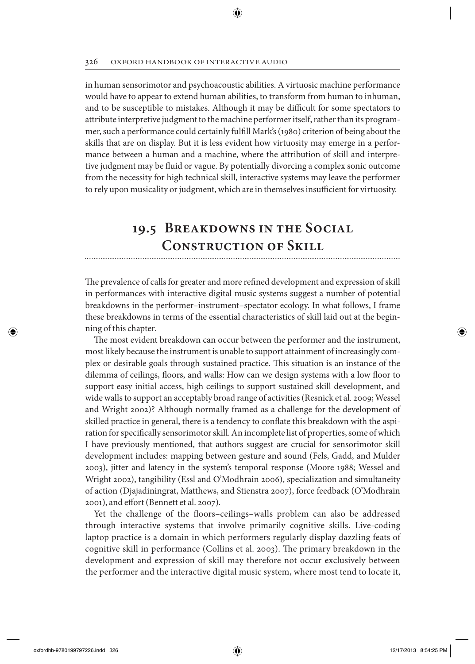in human sensorimotor and psychoacoustic abilities. A virtuosic machine performance would have to appear to extend human abilities, to transform from human to inhuman, and to be susceptible to mistakes. Although it may be difficult for some spectators to attribute interpretive judgment to the machine performer itself, rather than its programmer, such a performance could certainly fulfill Mark's (1980) criterion of being about the skills that are on display. But it is less evident how virtuosity may emerge in a performance between a human and a machine, where the attribution of skill and interpretive judgment may be fluid or vague. By potentially divorcing a complex sonic outcome from the necessity for high technical skill, interactive systems may leave the performer to rely upon musicality or judgment, which are in themselves insufficient for virtuosity.

⊕

# **19.5 Breakdowns in the Social Construction of Skill**

The prevalence of calls for greater and more refined development and expression of skill in performances with interactive digital music systems suggest a number of potential breakdowns in the performer–instrument–spectator ecology. In what follows, I frame these breakdowns in terms of the essential characteristics of skill laid out at the beginning of this chapter.

The most evident breakdown can occur between the performer and the instrument, most likely because the instrument is unable to support attainment of increasingly complex or desirable goals through sustained practice. This situation is an instance of the dilemma of ceilings, floors, and walls: How can we design systems with a low floor to support easy initial access, high ceilings to support sustained skill development, and wide walls to support an acceptably broad range of activities (Resnick et al. 2009; Wessel and Wright 2002)? Although normally framed as a challenge for the development of skilled practice in general, there is a tendency to conflate this breakdown with the aspiration for specifically sensorimotor skill. An incomplete list of properties, some of which I have previously mentioned, that authors suggest are crucial for sensorimotor skill development includes: mapping between gesture and sound (Fels, Gadd, and Mulder 2003), jitter and latency in the system's temporal response (Moore 1988; Wessel and Wright 2002), tangibility (Essl and O'Modhrain 2006), specialization and simultaneity of action (Djajadiningrat, Matthews, and Stienstra 2007), force feedback (O'Modhrain 2001), and effort (Bennett et al. 2007).

Yet the challenge of the floors–ceilings–walls problem can also be addressed through interactive systems that involve primarily cognitive skills. Live-coding laptop practice is a domain in which performers regularly display dazzling feats of cognitive skill in performance (Collins et al. 2003). The primary breakdown in the development and expression of skill may therefore not occur exclusively between the performer and the interactive digital music system, where most tend to locate it,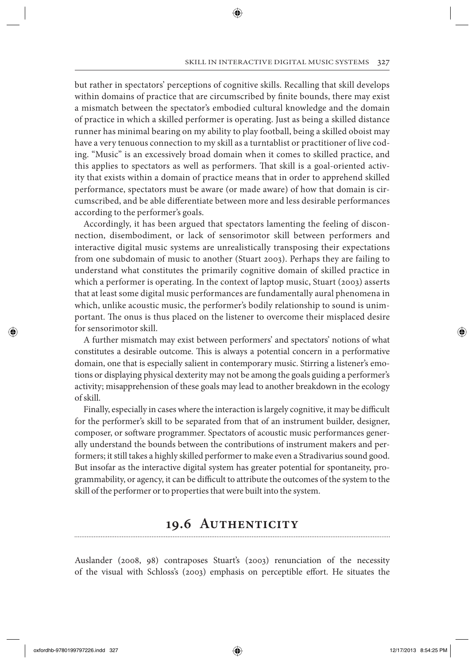but rather in spectators' perceptions of cognitive skills. Recalling that skill develops within domains of practice that are circumscribed by finite bounds, there may exist a mismatch between the spectator's embodied cultural knowledge and the domain of practice in which a skilled performer is operating. Just as being a skilled distance runner has minimal bearing on my ability to play football, being a skilled oboist may have a very tenuous connection to my skill as a turntablist or practitioner of live coding. "Music" is an excessively broad domain when it comes to skilled practice, and this applies to spectators as well as performers. That skill is a goal-oriented activity that exists within a domain of practice means that in order to apprehend skilled performance, spectators must be aware (or made aware) of how that domain is circumscribed, and be able differentiate between more and less desirable performances according to the performer's goals.

⊕

 Accordingly, it has been argued that spectators lamenting the feeling of disconnection, disembodiment, or lack of sensorimotor skill between performers and interactive digital music systems are unrealistically transposing their expectations from one subdomain of music to another (Stuart 2003). Perhaps they are failing to understand what constitutes the primarily cognitive domain of skilled practice in which a performer is operating. In the context of laptop music, Stuart (2003) asserts that at least some digital music performances are fundamentally aural phenomena in which, unlike acoustic music, the performer's bodily relationship to sound is unimportant. The onus is thus placed on the listener to overcome their misplaced desire for sensorimotor skill.

 A further mismatch may exist between performers' and spectators' notions of what constitutes a desirable outcome. This is always a potential concern in a performative domain, one that is especially salient in contemporary music. Stirring a listener's emotions or displaying physical dexterity may not be among the goals guiding a performer's activity; misapprehension of these goals may lead to another breakdown in the ecology ofskill.

Finally, especially in cases where the interaction is largely cognitive, it may be difficult for the performer's skill to be separated from that of an instrument builder, designer, composer, or software programmer. Spectators of acoustic music performances generally understand the bounds between the contributions of instrument makers and performers; it still takes a highly skilled performer to make even a Stradivarius sound good. But insofar as the interactive digital system has greater potential for spontaneity, programmability, or agency, it can be difficult to attribute the outcomes of the system to the skill of the performer or to properties that were built into the system.

# **19.6 Authenticity**

 Auslander (2008, 98) contraposes Stuart's (2003) renunciation of the necessity of the visual with Schloss's (2003) emphasis on perceptible ef ort. He situates the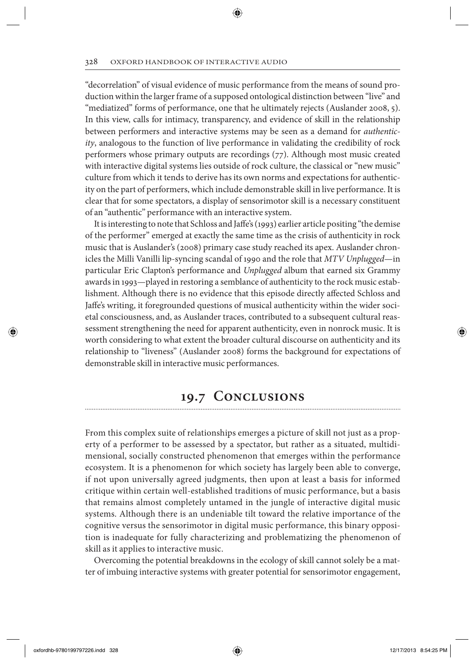"decorrelation" of visual evidence of music performance from the means of sound production within the larger frame of a supposed ontological distinction between "live" and "mediatized" forms of performance, one that he ultimately rejects (Auslander 2008, 5). In this view, calls for intimacy, transparency, and evidence of skill in the relationship between performers and interactive systems may be seen as a demand for *authenticity* , analogous to the function of live performance in validating the credibility of rock performers whose primary outputs are recordings (77). Although most music created with interactive digital systems lies outside of rock culture, the classical or "new music" culture from which it tends to derive has its own norms and expectations for authenticity on the part of performers, which include demonstrable skill in live performance. It is clear that for some spectators, a display of sensorimotor skill is a necessary constituent of an "authentic" performance with an interactive system.

◈

It is interesting to note that Schloss and Jaffe's (1993) earlier article positing "the demise of the performer" emerged at exactly the same time as the crisis of authenticity in rock music that is Auslander's (2008) primary case study reached its apex. Auslander chronicles the Milli Vanilli lip-syncing scandal of 1990 and the role that *MTV Unplugged* —in particular Eric Clapton's performance and *Unplugged* album that earned six Grammy awards in 1993—played in restoring a semblance of authenticity to the rock music establishment. Although there is no evidence that this episode directly affected Schloss and Jaffe's writing, it foregrounded questions of musical authenticity within the wider societal consciousness, and, as Auslander traces, contributed to a subsequent cultural reassessment strengthening the need for apparent authenticity, even in nonrock music. It is worth considering to what extent the broader cultural discourse on authenticity and its relationship to "liveness" (Auslander 2008) forms the background for expectations of demonstrable skill in interactive music performances.

### **19.7 Conclusions**

 From this complex suite of relationships emerges a picture of skill not just as a property of a performer to be assessed by a spectator, but rather as a situated, multidimensional, socially constructed phenomenon that emerges within the performance ecosystem. It is a phenomenon for which society has largely been able to converge, if not upon universally agreed judgments, then upon at least a basis for informed critique within certain well-established traditions of music performance, but a basis that remains almost completely untamed in the jungle of interactive digital music systems. Although there is an undeniable tilt toward the relative importance of the cognitive versus the sensorimotor in digital music performance, this binary opposition is inadequate for fully characterizing and problematizing the phenomenon of skill as it applies to interactive music.

 Overcoming the potential breakdowns in the ecology of skill cannot solely be a matter of imbuing interactive systems with greater potential for sensorimotor engagement,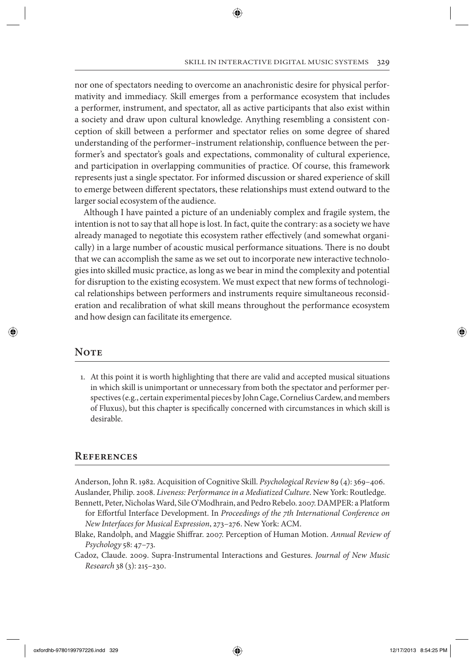nor one of spectators needing to overcome an anachronistic desire for physical performativity and immediacy. Skill emerges from a performance ecosystem that includes a performer, instrument, and spectator, all as active participants that also exist within a society and draw upon cultural knowledge. Anything resembling a consistent conception of skill between a performer and spectator relies on some degree of shared understanding of the performer–instrument relationship, confluence between the performer's and spectator's goals and expectations, commonality of cultural experience, and participation in overlapping communities of practice. Of course, this framework represents just a single spectator. For informed discussion or shared experience of skill to emerge between different spectators, these relationships must extend outward to the larger social ecosystem of the audience.

⊕

 Although I have painted a picture of an undeniably complex and fragile system, the intention is not to say that all hope is lost. In fact, quite the contrary: as a society we have already managed to negotiate this ecosystem rather effectively (and somewhat organically) in a large number of acoustic musical performance situations. There is no doubt that we can accomplish the same as we set out to incorporate new interactive technologies into skilled music practice, as long as we bear in mind the complexity and potential for disruption to the existing ecosystem. We must expect that new forms of technological relationships between performers and instruments require simultaneous reconsideration and recalibration of what skill means throughout the performance ecosystem and how design can facilitate its emergence.

#### $NOTE$

 1 . At this point it is worth highlighting that there are valid and accepted musical situations in which skill is unimportant or unnecessary from both the spectator and performer perspectives (e.g., certain experimental pieces by John Cage, Cornelius Cardew, and members of Fluxus), but this chapter is specifically concerned with circumstances in which skill is desirable.

#### **References**

Anderson, John R. 1982. Acquisition of Cognitive Skill. *Psychological Review* 89 (4): 369-406. Auslander , Philip. 2008 . *Liveness: Performance in a Mediatized Culture* . New York : Routledge .

- Bennett, Peter, Nicholas Ward, Sile O'Modhrain, and Pedro Rebelo. 2007. DAMPER: a Platform for Effortful Interface Development. In *Proceedings of the 7th International Conference on New Interfaces for Musical Expression* , 273–276 . New York: ACM .
- Blake, Randolph, and Maggie Shiffrar. 2007. Perception of Human Motion. Annual Review of *Psychology* 58: 47-73.

 Cadoz , Claude. 2009 . Supra-Instrumental Interactions and Gestures . *Journal of New Music Research* 38 (3): 215–230.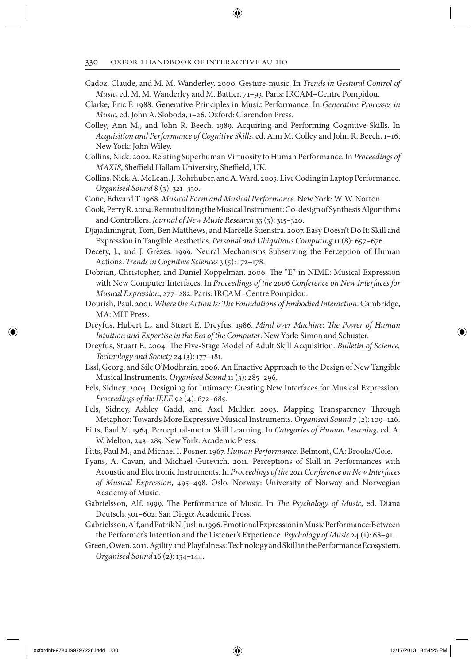Cadoz , Claude , and M. M. Wanderley . 2000 . Gesture-music . In *Trends in Gestural Control of Music*, ed. M. M. Wanderley and M. Battier, 71-93. Paris: IRCAM–Centre Pompidou.

⊕

- Clarke, Eric F. 1988. Generative Principles in Music Performance. In *Generative Processes in Music*, ed. John A. Sloboda, 1-26. Oxford: Clarendon Press.
- Colley, Ann M., and John R. Beech. 1989. Acquiring and Performing Cognitive Skills. In *Acquisition and Performance of Cognitive Skills*, ed. Ann M. Colley and John R. Beech, 1–16. New York: John Wiley.
- Collins , Nick. 2002 . Relating Superhuman Virtuosity to Human Performance . In *Proceedings of MAXIS*, Sheffield Hallam University, Sheffield, UK.
- Collins, Nick, A. McLean, J. Rohrhuber, and A. Ward. 2003. Live Coding in Laptop Performance. *Organised Sound* 8 (3): 321-330.
- Cone, Edward T. 1968. *Musical Form and Musical Performance*. New York: W. W. Norton.
- Cook , Perry R. 2004 . Remutualizing the Musical Instrument:Co-design of Synthesis Algorithms and Controllers. *Journal of New Music Research* 33 (3): 315-320.
- Djajadiningrat, Tom, Ben Matthews, and Marcelle Stienstra. 2007. Easy Doesn't Do It: Skill and Expression in Tangible Aesthetics. *Personal and Ubiquitous Computing* 11 (8): 657–676.
- Decety, J., and J. Grèzes. 1999. Neural Mechanisms Subserving the Perception of Human Actions. *Trends in Cognitive Sciences* 3 (5): 172-178.
- Dobrian, Christopher, and Daniel Koppelman. 2006. The "E" in NIME: Musical Expression with New Computer Interfaces . In *Proceedings of the* 2006 *Conference on New Interfaces for Musical Expression, 277-282. Paris: IRCAM-Centre Pompidou.*
- Dourish, Paul. 2001. Where the Action Is: The Foundations of Embodied Interaction. Cambridge, MA: MIT Press.
- Dreyfus, Hubert L., and Stuart E. Dreyfus. 1986. *Mind over Machine: The Power of Human Intuition and Expertise in the Era of the Computer*. New York: Simon and Schuster.
- Dreyfus, Stuart E. 2004. The Five-Stage Model of Adult Skill Acquisition. *Bulletin of Science*, *Technology and Society* 24 (3): 177–181.
- Essl, Georg, and Sile O'Modhrain. 2006. An Enactive Approach to the Design of New Tangible Musical Instruments. Organised Sound 11 (3): 285-296.
- Fels, Sidney. 2004. Designing for Intimacy: Creating New Interfaces for Musical Expression. *Proceedings of the IEEE* 92 (4): 672-685.
- Fels, Sidney, Ashley Gadd, and Axel Mulder. 2003. Mapping Transparency Through Metaphor: Towards More Expressive Musical Instruments. *Organised Sound* 7 (2): 109–126.
- Fitts, Paul M. 1964. Perceptual-motor Skill Learning. In *Categories of Human Learning*, ed. A. W. Melton, 243-285. New York: Academic Press.
- Fitts, Paul M., and Michael I. Posner. 1967. *Human Performance*. Belmont, CA: Brooks/Cole.
- Fyans, A. Cavan, and Michael Gurevich. 2011. Perceptions of Skill in Performances with Acoustic and Electronic Instruments . In *Proceedings of the* 2011 *Conference on New Interfaces of Musical Expression* , 495–498 . Oslo, Norway: University of Norway and Norwegian Academy of Music.
- Gabrielsson, Alf. 1999. The Performance of Music. In *The Psychology of Music*, ed. Diana Deutsch, 501–602. San Diego: Academic Press.
- Gabrielsson , Alf , and Patrik N. Juslin . 1996 . Emotional Expression in Music Performance:Between the Performer's Intention and the Listener's Experience. *Psychology of Music* 24 (1): 68–91.
- Green, Owen. 2011. Agility and Playfulness: Technology and Skill in the Performance Ecosystem. *Organised Sound* 16 (2): 134-144.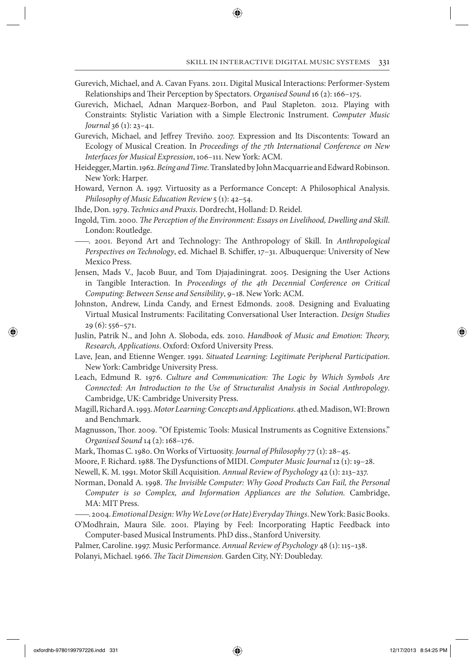Gurevich, Michael, and A. Cavan Fyans. 2011. Digital Musical Interactions: Performer-System Relationships and Their Perception by Spectators. Organised Sound 16 (2): 166-175.

◈

- Gurevich, Michael, Adnan Marquez-Borbon, and Paul Stapleton. 2012. Playing with Constraints: Stylistic Variation with a Simple Electronic Instrument . *Computer Music Journal* 36 (1): 23–41.
- Gurevich, Michael, and Jeffrey Treviño. 2007. Expression and Its Discontents: Toward an Ecology of Musical Creation . In *Proceedings of the* 7*th International Conference on New*  Interfaces for Musical Expression, 106-111. New York: ACM.
- Heidegger, Martin. 1962. *Being and Time*. Translated by John Macquarrie and Edward Robinson. New York: Harper.
- Howard, Vernon A. 1997. Virtuosity as a Performance Concept: A Philosophical Analysis. *Philosophy of Music Education Review* 5 (1): 42–54.
- Ihde, Don. 1979. *Technics and Praxis*. Dordrecht, Holland: D. Reidel.
- Ingold , Tim. 2000 . T *e Perception of the Environment: Essays on Livelihood, Dwelling and Skill* . London: Routledge.
- —— . 2001 . Beyond Art and Technology: T e Anthropology of Skill . In *Anthropological Perspectives on Technology*, ed. Michael B. Schiffer, 17-31. Albuquerque: University of New Mexico Press.
- Jensen, Mads V., Jacob Buur, and Tom Djajadiningrat. 2005. Designing the User Actions in Tangible Interaction . In *Proceedings of the* 4*th Decennial Conference on Critical*  Computing: Between Sense and Sensibility, 9-18. New York: ACM.
- Johnston, Andrew, Linda Candy, and Ernest Edmonds. 2008. Designing and Evaluating Virtual Musical Instruments: Facilitating Conversational User Interaction . *Design Studies*  $29(6)$ : 556–571.
- Juslin, Patrik N., and John A. Sloboda, eds. 2010. *Handbook of Music and Emotion: Theory*, *Research, Applications* . Oxford : Oxford University Press .
- Lave, Jean, and Etienne Wenger. 1991. Situated Learning: Legitimate Peripheral Participation. New York: Cambridge University Press.
- Leach, Edmund R. 1976. *Culture and Communication: The Logic by Which Symbols Are Connected: An Introduction to the Use of Structuralist Analysis in Social Anthropology* . Cambridge, UK: Cambridge University Press.
- Magill , Richard A. 1993 . *Motor Learning:Concepts and Applications* . 4th ed. Madison, WI : Brown and Benchmark.
- Magnusson, Thor. 2009. "Of Epistemic Tools: Musical Instruments as Cognitive Extensions." *Organised Sound* 14 (2): 168-176.
- Mark, Thomas C. 1980. On Works of Virtuosity. *Journal of Philosophy* 77 (1): 28–45.
- Moore, F. Richard. 1988. The Dysfunctions of MIDI. *Computer Music Journal* 12 (1): 19-28.
- Newell, K. M. 1991. Motor Skill Acquisition. *Annual Review of Psychology* 42 (1): 213–237.

Norman, Donald A. 1998. *The Invisible Computer: Why Good Products Can Fail, the Personal Computer is so Complex, and Information Appliances are the Solution. Cambridge,* MA: MIT Press.

—— . 2004 . *Emotional Design:Why We Love (or Hate) Everyday* T *ings* . NewYork : BasicBooks .

 O'Modhrain , Maura Sile. 2001 . Playing by Feel: Incorporating Haptic Feedback into Computer-based Musical Instruments. PhD diss., Stanford University.

Palmer, Caroline. 1997. Music Performance. *Annual Review of Psychology* 48 (1): 115–138. Polanyi, Michael. 1966. The Tacit Dimension. Garden City, NY: Doubleday.